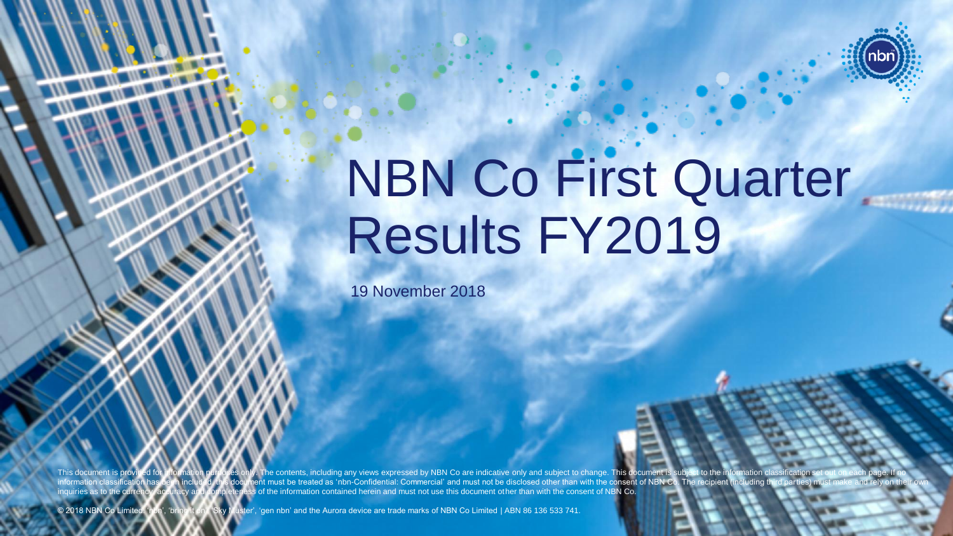

© 2018 NBN Co Limited 0

# NBN Co First Quarter Results FY2019

19 November 2018

This document is provided for information purposes only. The contents, including any views expressed by NBN Co are indicative only and subject to change. This document is subject to the information or .<br>nent must be treated as 'nbn-Confidential: Commercial' and must not be disclosed other than with the consent of NBN Co. The recipient (including t nguiries as to the currency, accuracy and completeness of the information contained herein and must not use this document other than with the consent of NBN Co.

© 2018 NBN Co Limited. 'nbn', 'bring it on', 'Sky Muster', 'gen nbn' and the Aurora device are trade marks of NBN Co Limited | ABN 86 136 533 741.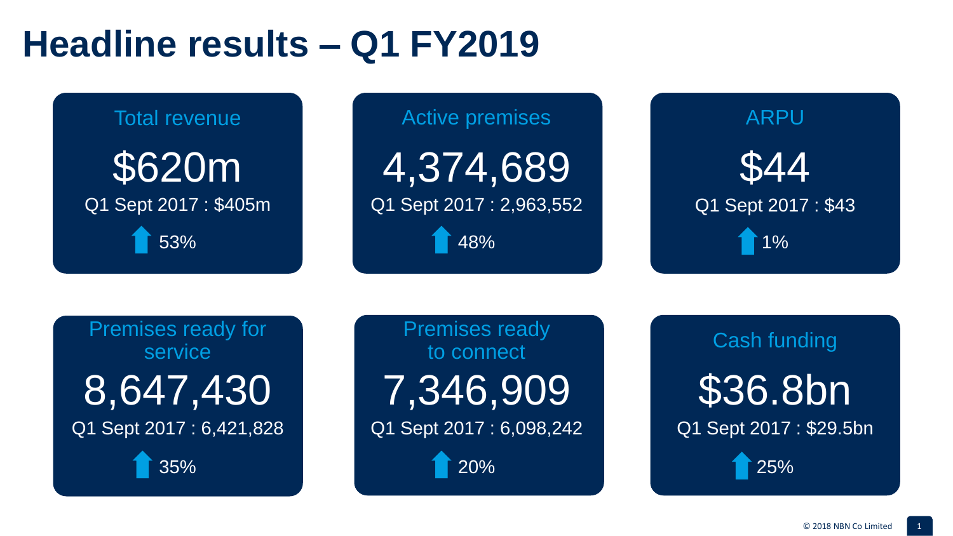### **Headline results – Q1 FY2019**

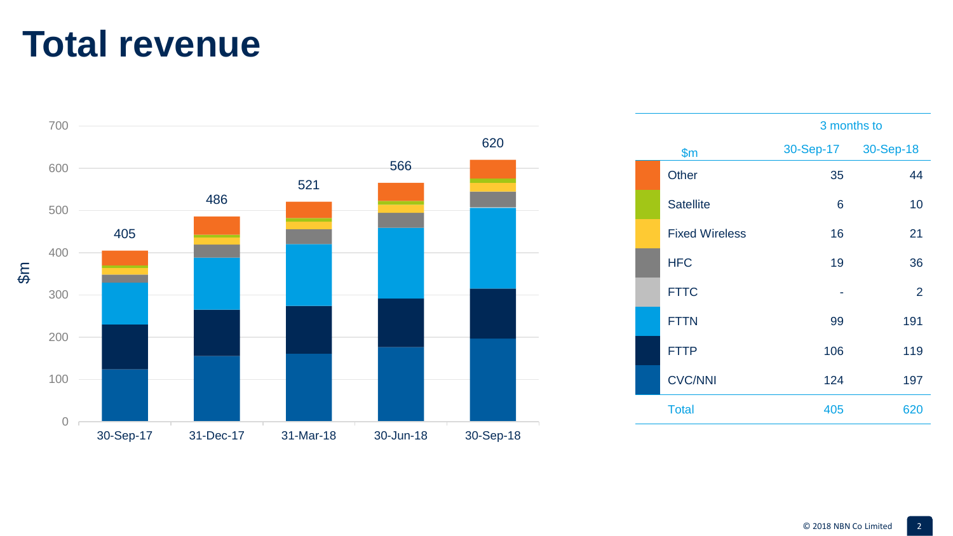#### **Total revenue**



|  |                       |     | 3 months to         |
|--|-----------------------|-----|---------------------|
|  | \$m                   |     | 30-Sep-17 30-Sep-18 |
|  | Other                 | 35  | 44                  |
|  | <b>Satellite</b>      | 6   | 10                  |
|  | <b>Fixed Wireless</b> | 16  | 21                  |
|  | <b>HFC</b>            | 19  | 36                  |
|  | <b>FTTC</b>           |     | 2                   |
|  | <b>FTTN</b>           | 99  | 191                 |
|  | <b>FTTP</b>           | 106 | 119                 |
|  | <b>CVC/NNI</b>        | 124 | 197                 |
|  | <b>Total</b>          | 405 | 620                 |
|  |                       |     |                     |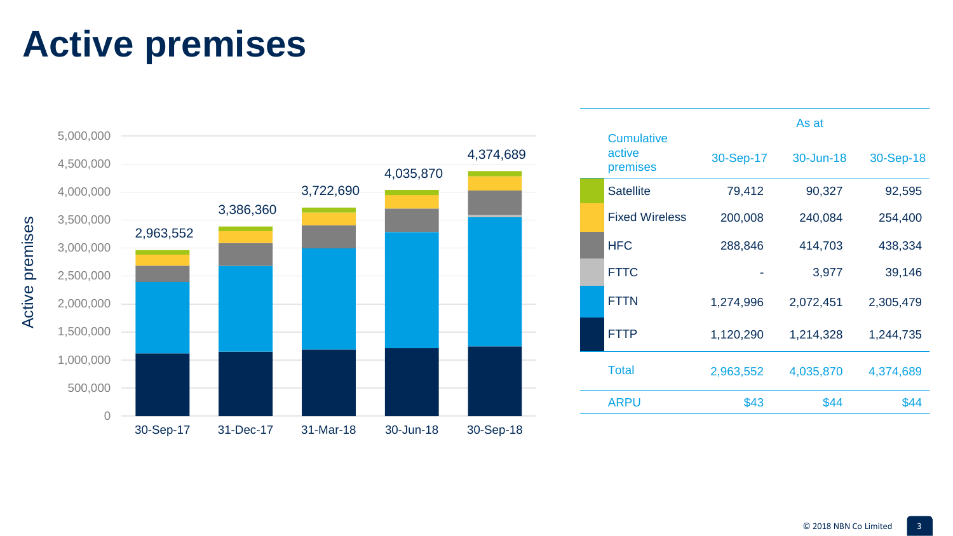# **Active premises**



|                                         | As at     |           |           |  |
|-----------------------------------------|-----------|-----------|-----------|--|
| <b>Cumulative</b><br>active<br>premises | 30-Sep-17 | 30-Jun-18 | 30-Sep-18 |  |
| <b>Satellite</b>                        | 79,412    | 90,327    | 92,595    |  |
| <b>Fixed Wireless</b>                   | 200,008   | 240,084   | 254,400   |  |
| <b>HFC</b>                              | 288,846   | 414,703   | 438,334   |  |
| <b>FTTC</b>                             |           | 3,977     | 39,146    |  |
| <b>FTTN</b>                             | 1,274,996 | 2,072,451 | 2,305,479 |  |
| <b>FTTP</b>                             | 1,120,290 | 1,214,328 | 1,244,735 |  |
| <b>Total</b>                            | 2,963,552 | 4,035,870 | 4,374,689 |  |
| <b>ARPU</b>                             | \$43      | \$44      | \$44      |  |
|                                         |           |           |           |  |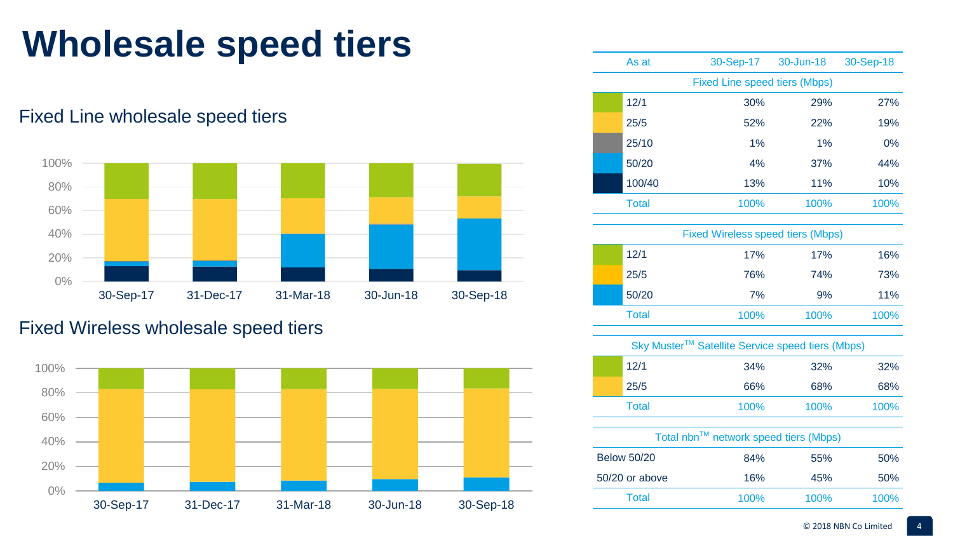## **Wholesale speed tiers**

Fixed Line wholesale speed tiers



#### Fixed Wireless wholesale speed tiers



| As at                                    | 30-Sep-17 30-Jun-18 |       | 30-Sep-18 |  |
|------------------------------------------|---------------------|-------|-----------|--|
| Fixed Line speed tiers (Mbps)            |                     |       |           |  |
| 12/1                                     | 30%                 | 29%   | 27%       |  |
| 25/5                                     | 52%                 | 22%   | 19%       |  |
| 25/10                                    | 1%                  | $1\%$ | 0%        |  |
| 50/20                                    | 4%                  | 37%   | 44%       |  |
| 100/40                                   | 13%                 | 11%   | 10%       |  |
| <b>Total</b>                             | 100%                | 100%  | 100%      |  |
| <b>Fixed Wireless speed tiers (Mbps)</b> |                     |       |           |  |
| 12/1                                     | 17%                 | 17%   | 16%       |  |
| 25/5                                     | 76%                 | 74%   | 73%       |  |
| 50/20                                    | 7%                  | 9%    | 11%       |  |
| <b>Total</b>                             | 100%                | 100%  | 100%      |  |

| 12/1               | 34%                                   | 32%  | 32%  |
|--------------------|---------------------------------------|------|------|
| 25/5               | 66%                                   | 68%  | 68%  |
| <b>Total</b>       | 100%                                  | 100% | 100% |
|                    | Total nbn™ network speed tiers (Mbps) |      |      |
| <b>Below 50/20</b> | QAO/L                                 | 550/ | 5004 |

|                    | $1.31$ $1.51$ $1.51$ $1.51$ $1.51$ $1.51$ $1.51$ $1.51$ $1.51$ $1.51$ $1.51$ $1.51$ $1.51$ $1.51$ $1.51$ $1.51$ $1.51$ $1.51$ $1.51$ $1.51$ $1.51$ $1.51$ $1.51$ $1.51$ $1.51$ $1.51$ $1.51$ $1.51$ $1.51$ $1.51$ $1.51$ $1.5$ |      |      |
|--------------------|--------------------------------------------------------------------------------------------------------------------------------------------------------------------------------------------------------------------------------|------|------|
| <b>Below 50/20</b> | 84%                                                                                                                                                                                                                            | 55%  | 50%  |
| 50/20 or above     | 16%                                                                                                                                                                                                                            | 45%  | 50%  |
| Total              | 100%                                                                                                                                                                                                                           | 100% | 100% |
|                    |                                                                                                                                                                                                                                |      |      |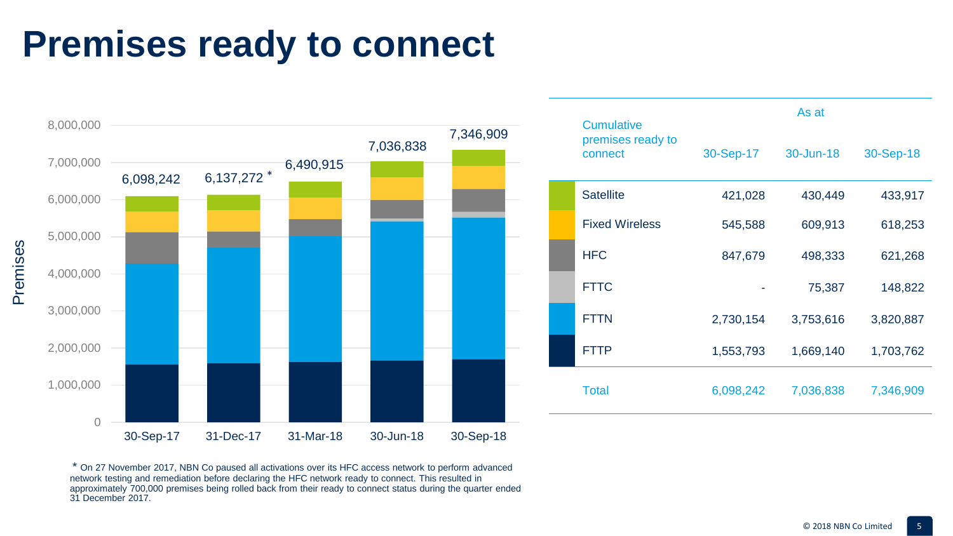### **Premises ready to connect**



| <b>Cumulative</b>            | As at     |           |           |  |
|------------------------------|-----------|-----------|-----------|--|
| premises ready to<br>connect | 30-Sep-17 | 30-Jun-18 | 30-Sep-18 |  |
| <b>Satellite</b>             | 421,028   | 430,449   | 433,917   |  |
| <b>Fixed Wireless</b>        | 545,588   | 609,913   | 618,253   |  |
| <b>HFC</b>                   | 847,679   | 498,333   | 621,268   |  |
| <b>FTTC</b>                  |           | 75,387    | 148,822   |  |
| <b>FTTN</b>                  | 2,730,154 | 3,753,616 | 3,820,887 |  |
| <b>FTTP</b>                  | 1,553,793 | 1,669,140 | 1,703,762 |  |
| Total                        | 6,098,242 | 7,036,838 | 7,346,909 |  |

\* On 27 November 2017, NBN Co paused all activations over its HFC access network to perform advanced network testing and remediation before declaring the HFC network ready to connect. This resulted in approximately 700,000 premises being rolled back from their ready to connect status during the quarter ended 31 December 2017.

Premises Premises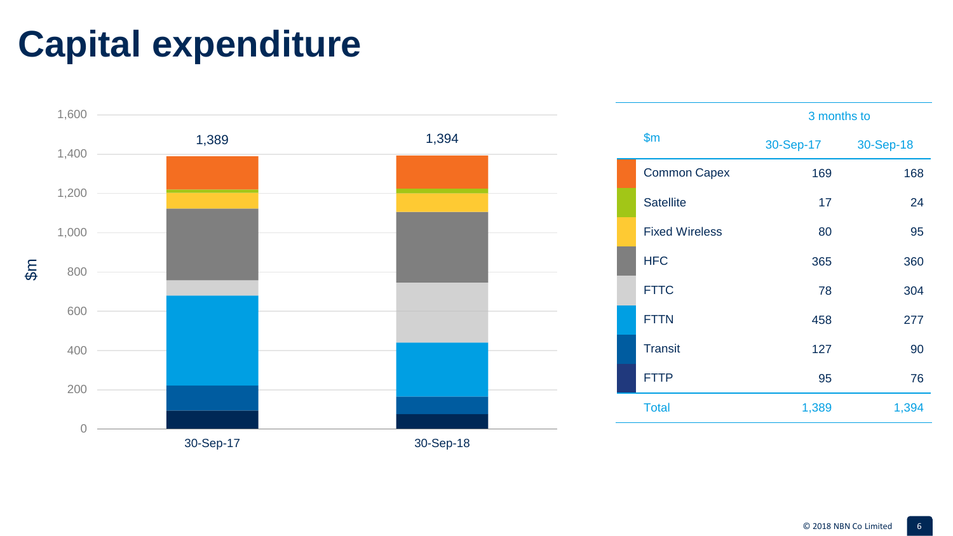# **Capital expenditure**



|                       | 3 months to |           |  |
|-----------------------|-------------|-----------|--|
| $\mathsf{S}$ m        | 30-Sep-17   | 30-Sep-18 |  |
| <b>Common Capex</b>   | 169         | 168       |  |
| <b>Satellite</b>      | 17          | 24        |  |
| <b>Fixed Wireless</b> | 80          | 95        |  |
| <b>HFC</b>            | 365         | 360       |  |
| <b>FTTC</b>           | 78          | 304       |  |
| <b>FTTN</b>           | 458         | 277       |  |
| <b>Transit</b>        | 127         | 90        |  |
| <b>FTTP</b>           | 95          | 76        |  |
| <b>Total</b>          | 1,389       | 1,394     |  |
|                       |             |           |  |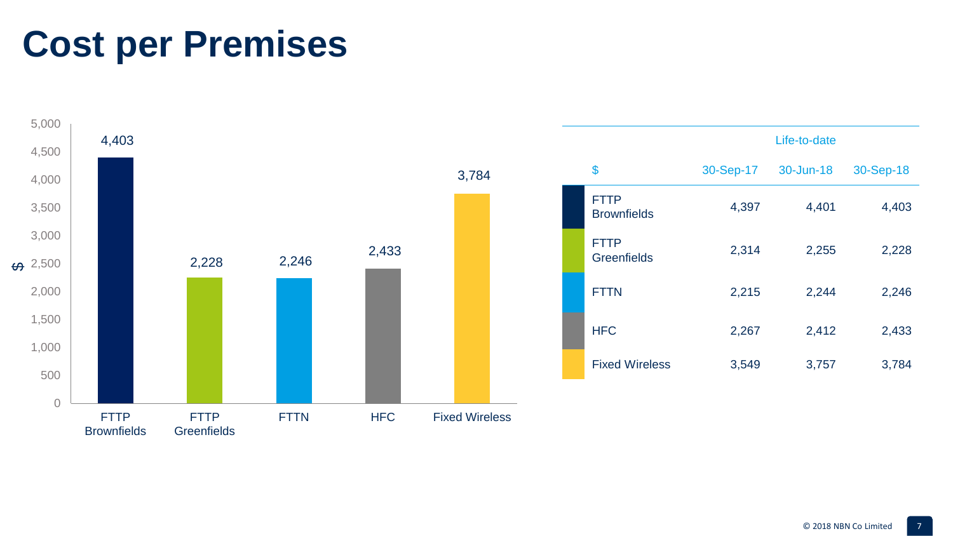### **Cost per Premises**

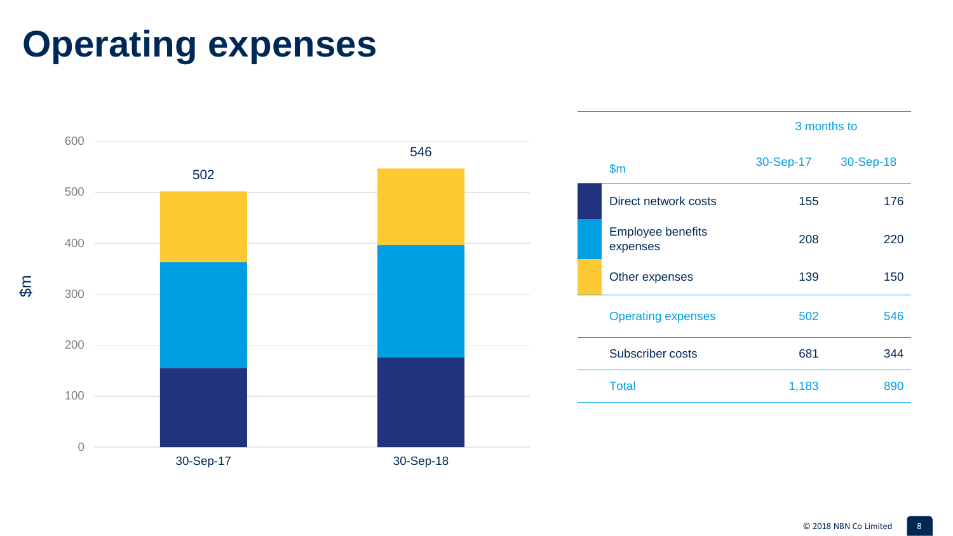# **Operating expenses**



© 2018 NBN Co Limited 8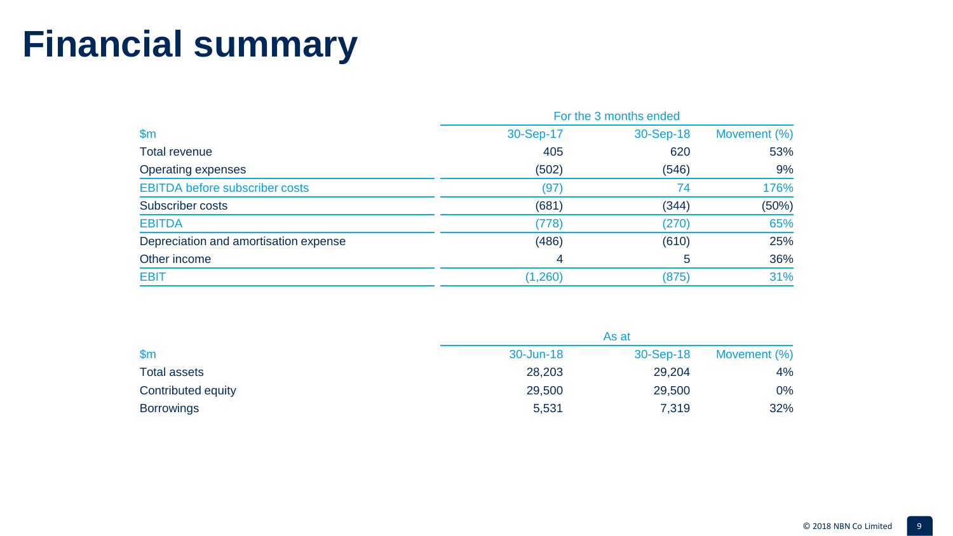# **Financial summary**

|                                       | For the 3 months ended |           |              |
|---------------------------------------|------------------------|-----------|--------------|
| $\mathsf{Sm}$                         | 30-Sep-17              | 30-Sep-18 | Movement (%) |
| Total revenue                         | 405                    | 620       | 53%          |
| Operating expenses                    | (502)                  | (546)     | 9%           |
| <b>EBITDA before subscriber costs</b> | (97)                   | 74        | 176%         |
| Subscriber costs                      | (681)                  | (344)     | (50%)        |
| <b>EBITDA</b>                         | (778)                  | (270)     | 65%          |
| Depreciation and amortisation expense | (486)                  | (610)     | 25%          |
| Other income                          | 4                      | 5         | 36%          |
| <b>EBIT</b>                           | (1,260)                | (875)     | 31%          |

|                     |           | As at     |              |
|---------------------|-----------|-----------|--------------|
| $\mathsf{Sm}$       | 30-Jun-18 | 30-Sep-18 | Movement (%) |
| <b>Total assets</b> | 28,203    | 29,204    | 4%           |
| Contributed equity  | 29,500    | 29,500    | 0%           |
| <b>Borrowings</b>   | 5,531     | 7,319     | 32%          |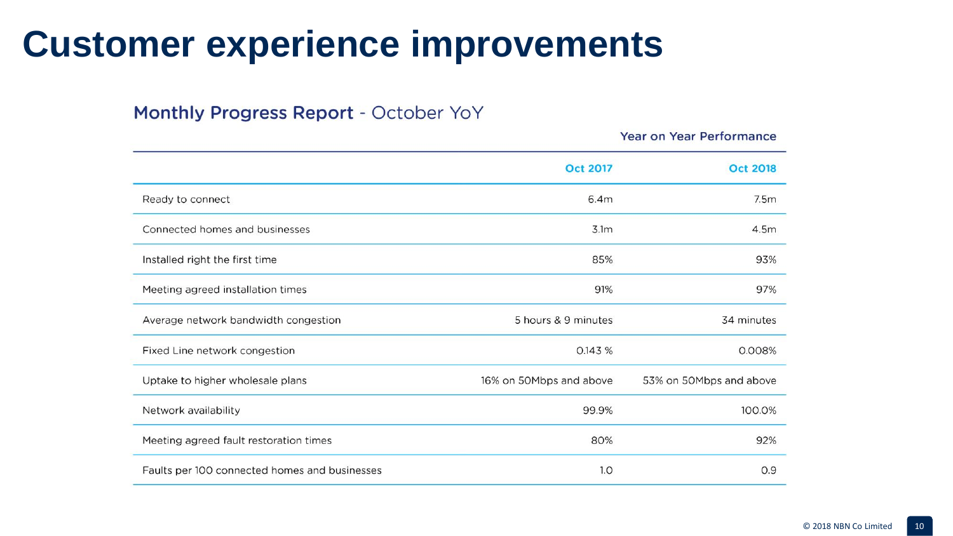#### **Customer experience improvements**

#### Monthly Progress Report - October YoY

|                                               |                         | <b>Year on Year Performance</b> |
|-----------------------------------------------|-------------------------|---------------------------------|
|                                               | <b>Oct 2017</b>         | <b>Oct 2018</b>                 |
| Ready to connect                              | 6.4m                    | 7.5m                            |
| Connected homes and businesses                | 3.1 <sub>m</sub>        | 4.5m                            |
| Installed right the first time                | 85%                     | 93%                             |
| Meeting agreed installation times             | 91%                     | 97%                             |
| Average network bandwidth congestion          | 5 hours & 9 minutes     | 34 minutes                      |
| Fixed Line network congestion                 | 0.143 %                 | 0.008%                          |
| Uptake to higher wholesale plans              | 16% on 50Mbps and above | 53% on 50Mbps and above         |
| Network availability                          | 99.9%                   | 100.0%                          |
| Meeting agreed fault restoration times        | 80%                     | 92%                             |
| Faults per 100 connected homes and businesses | 1.0                     | 0.9                             |